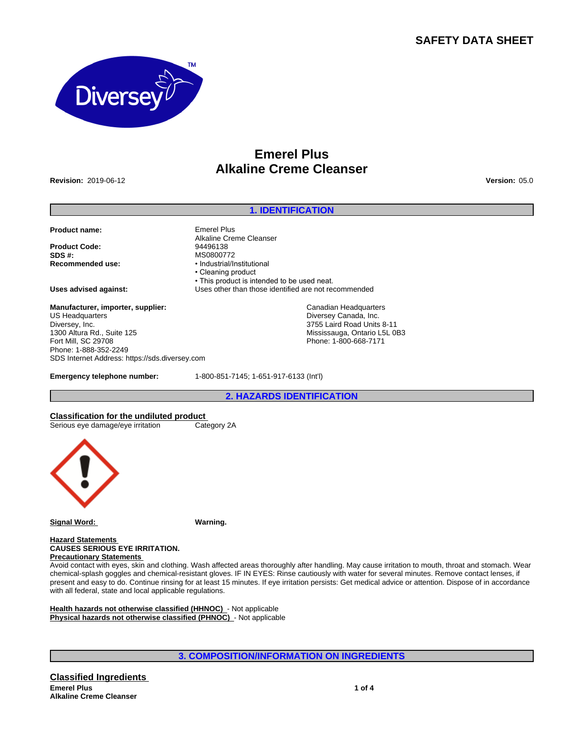# **SAFETY DATA SHEET**



# **Emerel Plus Alkaline Creme Cleanser**

**Revision:** 2019-06-12 **Version:** 05.0

# **1. IDENTIFICATION**

**Product name:** Emerel Plus

**Product Code:** 94496138<br> **SDS #:** MS080077 **SDS #:** MS0800772<br> **Recommended use:** Manual Manual Mecommended use:

**Manufacturer, importer, supplier:** US Headquarters Diversey, Inc. 1300 Altura Rd., Suite 125 Fort Mill, SC 29708 Phone: 1-888-352-2249 SDS Internet Address: https://sds.diversey.com

**Emergency telephone number:** 1-800-851-7145; 1-651-917-6133 (Int'l)

**2. HAZARDS IDENTIFICATION**

**Classification for the undiluted product**<br>
Serious eye damage/eye irritation Category 2A Serious eye damage/eye irritation



**Signal Word: Warning.**

**Hazard Statements CAUSES SERIOUS EYE IRRITATION. Precautionary Statements** 

Avoid contact with eyes, skin and clothing. Wash affected areas thoroughly after handling. May cause irritation to mouth, throat and stomach. Wear chemical-splash goggles and chemical-resistant gloves. IF IN EYES: Rinse cautiously with water for several minutes. Remove contact lenses, if present and easy to do. Continue rinsing for at least 15 minutes. If eye irritation persists: Get medical advice or attention. Dispose of in accordance with all federal, state and local applicable regulations.

**Health hazards not otherwise classified (HHNOC)** - Not applicable **Physical hazards not otherwise classified (PHNOC)** - Not applicable

**3. COMPOSITION/INFORMATION ON INGREDIENTS**

Alkaline Creme Cleanser **Recommended use:** •Industrial/Institutional • Cleaning product • This product is intended to be used neat. **Uses advised against:** Uses other than those identified are not recommended

> Canadian Headquarters Diversey Canada, Inc. 3755 Laird Road Units 8-11 Mississauga, Ontario L5L 0B3 Phone: 1-800-668-7171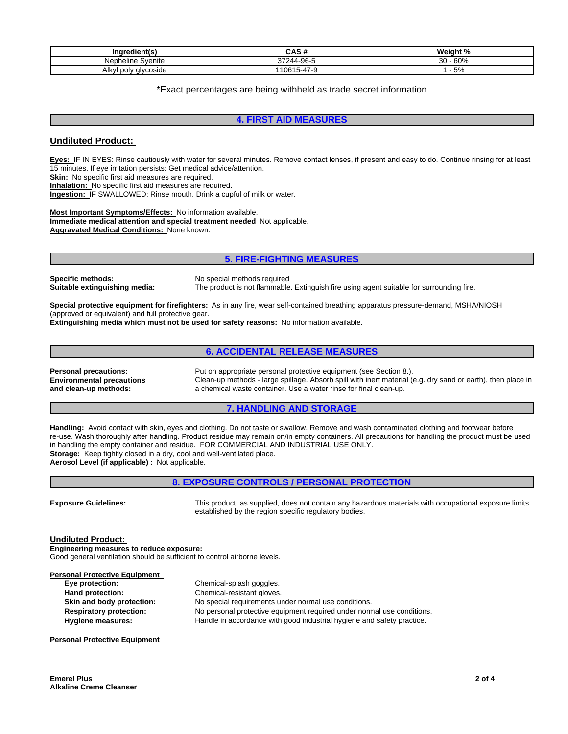| ⊺nar<br>:dient(s           | .                      | .<br>$\sim$<br>$\overline{\phantom{a}}$ |
|----------------------------|------------------------|-----------------------------------------|
| Nephelir<br>∋venıte        | .005<br>$- - -$<br>JU. | r nn<br>$\sim$<br>00/0<br>⊽⊽            |
| Alkvl<br>alvcoside<br>poly | $\rightarrow$<br>`-    | $\sim$<br>-<br>$\cup$ 70                |

## \*Exact percentages are being withheld as trade secret information

## **4. FIRST AID MEASURES**

# **Undiluted Product:**

**Eyes:** IF IN EYES: Rinse cautiously with water for several minutes. Remove contact lenses, if present and easy to do. Continue rinsing for at least 15 minutes. If eye irritation persists: Get medical advice/attention. **Skin:** No specific first aid measures are required.

**Inhalation:** No specific first aid measures are required.

**Ingestion:** IF SWALLOWED: Rinse mouth. Drink a cupful of milk or water.

**Most Important Symptoms/Effects:** No information available. **Immediate medical attention and special treatment needed** Not applicable. **Aggravated Medical Conditions:** None known.

## **5. FIRE-FIGHTING MEASURES**

**Specific methods:** No special methods required<br> **Suitable extinguishing media:** The product is not flammable

**Suitable extinguishing media:** The product is not flammable. Extinguish fire using agent suitable for surrounding fire.

**Special protective equipment for firefighters:** As in any fire, wear self-contained breathing apparatus pressure-demand, MSHA/NIOSH (approved or equivalent) and full protective gear.

**Extinguishing media which must not be used for safety reasons:** No information available.

# **6. ACCIDENTAL RELEASE MEASURES**

**Environmental precautions and clean-up methods:**

**Personal precautions:** Put on appropriate personal protective equipment (see Section 8.). Clean-up methods - large spillage. Absorb spill with inert material (e.g. dry sand or earth), then place in a chemical waste container. Use a water rinse for final clean-up.

# **7. HANDLING AND STORAGE**

**Handling:** Avoid contact with skin, eyes and clothing. Do not taste or swallow. Remove and wash contaminated clothing and footwear before re-use. Wash thoroughly after handling. Product residue may remain on/in empty containers. All precautions for handling the product must be used in handling the empty container and residue. FOR COMMERCIAL AND INDUSTRIAL USE ONLY. **Storage:** Keep tightly closed in a dry, cool and well-ventilated place. **Aerosol Level (if applicable) :** Not applicable.

**8. EXPOSURE CONTROLS / PERSONAL PROTECTION**

**Exposure Guidelines:** This product, as supplied, does not contain any hazardous materials with occupational exposure limits established by the region specific regulatory bodies.

**Undiluted Product:**

**Engineering measures to reduce exposure:** Good general ventilation should be sufficient to control airborne levels.

| <b>Personal Protective Equipment</b> |                                                                        |
|--------------------------------------|------------------------------------------------------------------------|
| Eye protection:                      | Chemical-splash goggles.                                               |
| Hand protection:                     | Chemical-resistant gloves.                                             |
| Skin and body protection:            | No special requirements under normal use conditions.                   |
| <b>Respiratory protection:</b>       | No personal protective equipment required under normal use conditions. |
| <b>Hygiene measures:</b>             | Handle in accordance with good industrial hygiene and safety practice. |
|                                      |                                                                        |

**Personal Protective Equipment**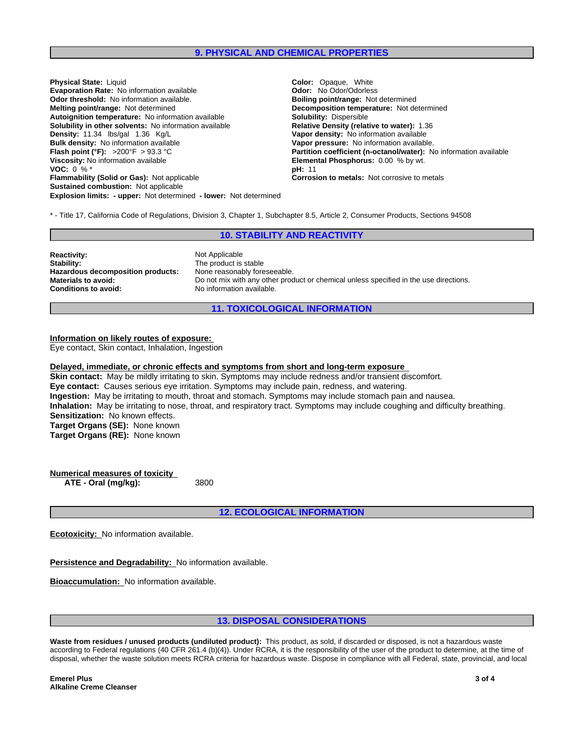## **9. PHYSICAL AND CHEMICAL PROPERTIES**

**Explosion limits: - upper:** Not determined **- lower:** Not determined **Physical State:** Liquid **Color: Color: Color:** Opaque, White **Evaporation Rate:** No information available **Color Color: Odor:** No Odor/Odorless **Evaporation Rate:** No information available **Odor threshold:** No information available. **Boiling point/range:** Not determined **Melting point/range:** Not determined **Decomposition temperature:** Not determined **Autoignition temperature:** No information available **Solubility:** Dispersible **Solubility in other solvents: No information available Density:** 11.34 lbs/gal 1.36 Kg/L **Vapor density:** No information available **Bulk density:** No information available **Bulk density:** No information available **Bulk density:** No information available **Vapor pressure:** No information available.<br> **Flash point (°F):** >200°F > 93.3 °C **COLL EXECT BE SET ATTITE PARTITION CONSTANT BE SET A PARTITION CONSTANT BE SET A PARTITION CONSTAN Viscosity:** No information available **Elemental Phosphorus:** 0.00 % by wt. **VOC:** 0 % \* **pH:** 11 **Flammability (Solid or Gas):** Not applicable **Corrosion to metals:** Not corrosive to metals **Sustained combustion:** Not applicable

**Partition coefficient (n-octanol/water):** No information available

\* - Title 17, California Code of Regulations, Division 3, Chapter 1, Subchapter 8.5, Article 2, Consumer Products, Sections 94508

## **10. STABILITY AND REACTIVITY**

**Reactivity:** Not Applicable **Stability:** The product is stable **Hazardous decomposition products:** None reasonably foreseeable.<br>**Materials to avoid:** Do not mix with any other prod **Materials to avoid:** Do not mix with any other product or chemical unless specified in the use directions.<br> **Conditions to avoid:** No information available. **Conditions to avoid:** No information available.

**11. TOXICOLOGICAL INFORMATION**

#### **Information on likely routes of exposure:**

Eye contact, Skin contact, Inhalation, Ingestion

#### **Delayed, immediate, or chronic effects and symptoms from short and long-term exposure**

**Skin contact:** May be mildly irritating to skin. Symptoms may include redness and/or transient discomfort. **Eye contact:** Causes serious eye irritation. Symptoms may include pain, redness, and watering. **Ingestion:** May be irritating to mouth, throat and stomach. Symptoms may include stomach pain and nausea. **Inhalation:** May be irritating to nose, throat, and respiratory tract. Symptoms may include coughing and difficulty breathing. **Sensitization:** No known effects. **Target Organs (SE):** None known **Target Organs (RE):** None known

**Numerical measures of toxicity ATE - Oral (mg/kg):** 3800

**12. ECOLOGICAL INFORMATION**

**Ecotoxicity:** No information available.

**Persistence and Degradability:** No information available.

**Bioaccumulation:** No information available.

#### **13. DISPOSAL CONSIDERATIONS**

**Waste from residues / unused products (undiluted product):** This product, as sold, if discarded or disposed, is not a hazardous waste according to Federal regulations (40 CFR 261.4 (b)(4)). Under RCRA, it is the responsibility of the user of the product to determine, at the time of disposal, whether the waste solution meets RCRA criteria for hazardous waste. Dispose in compliance with all Federal, state, provincial, and local